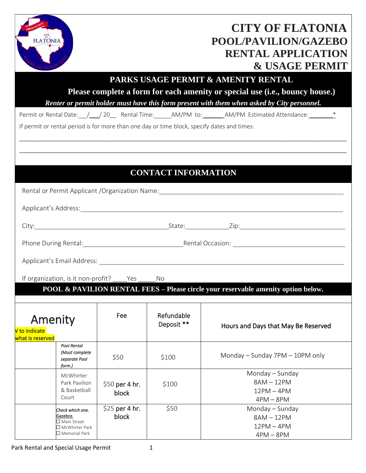

# **CITY OF FLATONIA POOL/PAVILION/GAZEBO RENTAL APPLICATION & USAGE PERMIT**

## **PARKS USAGE PERMIT & AMENITY RENTAL**

**Please complete a form for each amenity or special use (i.e., bouncy house.)**

*Renter or permit holder must have this form present with them when asked by City personnel.*

Permit or Rental Date:  $\frac{1}{20}$  20 Rental Time: AM/PM to: \_\_\_\_\_\_ AM/PM Estimated Attendance:

If permit or rental period is for more than one day or time block, specify dates and times:

# **CONTACT INFORMATION**

\_\_\_\_\_\_\_\_\_\_\_\_\_\_\_\_\_\_\_\_\_\_\_\_\_\_\_\_\_\_\_\_\_\_\_\_\_\_\_\_\_\_\_\_\_\_\_\_\_\_\_\_\_\_\_\_\_\_\_\_\_\_\_\_\_\_\_\_\_\_\_\_\_\_\_\_\_\_\_\_\_\_\_\_\_\_\_\_\_\_\_\_\_\_\_\_\_\_\_\_ \_\_\_\_\_\_\_\_\_\_\_\_\_\_\_\_\_\_\_\_\_\_\_\_\_\_\_\_\_\_\_\_\_\_\_\_\_\_\_\_\_\_\_\_\_\_\_\_\_\_\_\_\_\_\_\_\_\_\_\_\_\_\_\_\_\_\_\_\_\_\_\_\_\_\_\_\_\_\_\_\_\_\_\_\_\_\_\_\_\_\_\_\_\_\_\_\_\_\_\_

| If organization, is it non-profit? Yes No                                         |                                                                                                  |                          |                          |                                                                |  |  |
|-----------------------------------------------------------------------------------|--------------------------------------------------------------------------------------------------|--------------------------|--------------------------|----------------------------------------------------------------|--|--|
| POOL & PAVILION RENTAL FEES - Please circle your reservable amenity option below. |                                                                                                  |                          |                          |                                                                |  |  |
| Amenity<br><b>V</b> to indicate<br>what is reserved                               |                                                                                                  | Fee                      | Refundable<br>Deposit ** | Hours and Days that May Be Reserved                            |  |  |
|                                                                                   | <b>Pool Rental</b><br>(Must complete<br>separate Pool<br>form.)                                  | \$50                     | \$100                    | Monday $-$ Sunday 7PM $-$ 10PM only                            |  |  |
|                                                                                   | McWhirter<br>Park Pavilion<br>& Basketball<br>Court                                              | \$50 per 4 hr.<br>block  | \$100                    | Monday - Sunday<br>$8AM - 12PM$<br>$12PM - 4PM$<br>$4PM - 8PM$ |  |  |
|                                                                                   | Check which one.<br>Gazebos<br>□ Main Street<br>$\square$ McWhirter Park<br>$\Box$ Memorial Park | $$25$ per 4 hr.<br>block | \$50                     | Monday - Sunday<br>$8AM - 12PM$<br>$12PM - 4PM$<br>$4PM - 8PM$ |  |  |

Park Rental and Special Usage Permit 1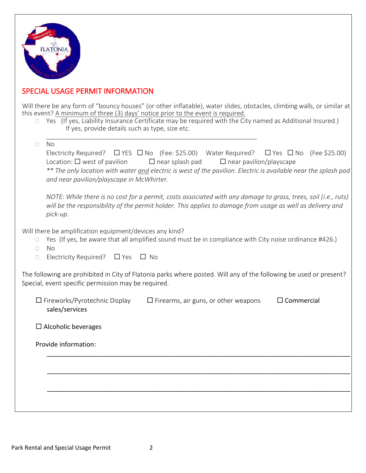

## SPECIAL USAGE PERMIT INFORMATION

Will there be any form of "bouncy houses" (or other inflatable), water slides, obstacles, climbing walls, or similar at this event? A minimum of three (3) days' notice prior to the event is required.

□ Yes (If yes, Liability Insurance Certificate may be required with the City named as Additional Insured.) If yes, provide details such as type, size etc.

\_\_\_\_\_\_\_\_\_\_\_\_\_\_\_\_\_\_\_\_\_\_\_\_\_\_\_\_\_\_\_\_\_\_\_\_\_\_\_\_\_\_\_\_\_\_\_\_\_\_\_\_\_\_\_\_\_\_\_

| П      | No                                                                                                                                                                                                                                       |  |  |  |  |
|--------|------------------------------------------------------------------------------------------------------------------------------------------------------------------------------------------------------------------------------------------|--|--|--|--|
|        | $\Box$ YES $\Box$ No (Fee: \$25.00) Water Required? $\Box$ Yes $\Box$ No (Fee \$25.00)<br>Electricity Required?<br>Location: $\square$ west of pavilion<br>$\Box$ near splash pad<br>$\Box$ near pavilion/playscape                      |  |  |  |  |
|        | ** The only location with water and electric is west of the pavilion. Electric is available near the splash pad<br>and near pavilion/playscape in McWhirter.                                                                             |  |  |  |  |
|        | NOTE: While there is no cost for a permit, costs associated with any damage to grass, trees, soil (i.e., ruts)<br>will be the responsibility of the permit holder. This applies to damage from usage as well as delivery and<br>pick-up. |  |  |  |  |
|        | Will there be amplification equipment/devices any kind?                                                                                                                                                                                  |  |  |  |  |
| П      | Yes (If yes, be aware that all amplified sound must be in compliance with City noise ordinance #426.)<br><b>No</b>                                                                                                                       |  |  |  |  |
| $\Box$ | Electricity Required? $\Box$ Yes<br>$\square$ No                                                                                                                                                                                         |  |  |  |  |
|        | The following are prohibited in City of Flatonia parks where posted. Will any of the following be used or present?<br>Special, event specific permission may be required.                                                                |  |  |  |  |
|        | $\Box$ Fireworks/Pyrotechnic Display<br>$\Box$ Firearms, air guns, or other weapons<br>$\Box$ Commercial<br>sales/services                                                                                                               |  |  |  |  |
|        | $\Box$ Alcoholic beverages                                                                                                                                                                                                               |  |  |  |  |
|        | Provide information:                                                                                                                                                                                                                     |  |  |  |  |
|        |                                                                                                                                                                                                                                          |  |  |  |  |
|        |                                                                                                                                                                                                                                          |  |  |  |  |
|        |                                                                                                                                                                                                                                          |  |  |  |  |
|        |                                                                                                                                                                                                                                          |  |  |  |  |
|        |                                                                                                                                                                                                                                          |  |  |  |  |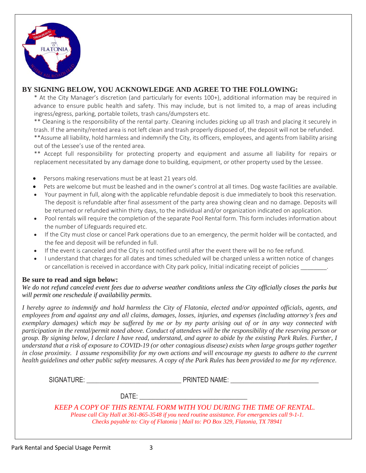

#### **BY SIGNING BELOW, YOU ACKNOWLEDGE AND AGREE TO THE FOLLOWING:**

\* At the City Manager's discretion (and particularly for events 100+), additional information may be required in advance to ensure public health and safety. This may include, but is not limited to, a map of areas including ingress/egress, parking, portable toilets, trash cans/dumpsters etc.

\*\* Cleaning is the responsibility of the rental party. Cleaning includes picking up all trash and placing it securely in trash. If the amenity/rented area is not left clean and trash properly disposed of, the deposit will not be refunded. \*\*Assume all liability, hold harmless and indemnify the City, its officers, employees, and agents from liability arising out of the Lessee's use of the rented area.

\*\* Accept full responsibility for protecting property and equipment and assume all liability for repairs or replacement necessitated by any damage done to building, equipment, or other property used by the Lessee.

- Persons making reservations must be at least 21 years old.
- Pets are welcome but must be leashed and in the owner's control at all times. Dog waste facilities are available.
- Your payment in full, along with the applicable refundable deposit is due immediately to book this reservation. The deposit is refundable after final assessment of the party area showing clean and no damage. Deposits will be returned or refunded within thirty days, to the individual and/or organization indicated on application.
- Pool rentals will require the completion of the separate Pool Rental form. This form includes information about the number of Lifeguards required etc.
- If the City must close or cancel Park operations due to an emergency, the permit holder will be contacted, and the fee and deposit will be refunded in full.
- If the event is canceled and the City is not notified until after the event there will be no fee refund.
- I understand that charges for all dates and times scheduled will be charged unless a written notice of changes or cancellation is received in accordance with City park policy, Initial indicating receipt of policies .

### **Be sure to read and sign below:**

*We do not refund canceled event fees due to adverse weather conditions unless the City officially closes the parks but will permit one reschedule if availability permits.*

*I hereby agree to indemnify and hold harmless the City of Flatonia, elected and/or appointed officials, agents, and employees from and against any and all claims, damages, losses, injuries, and expenses (including attorney's fees and exemplary damages) which may be suffered by me or by my party arising out of or in any way connected with participation in the rental/permit noted above. Conduct of attendees will be the responsibility of the reserving person or group. By signing below, I declare I have read, understand, and agree to abide by the existing Park Rules. Further, I understand that a risk of exposure to COVID-19 (or other contagious disease) exists when large groups gather together in close proximity. I assume responsibility for my own actions and will encourage my guests to adhere to the current health guidelines and other public safety measures. A copy of the Park Rules has been provided to me for my reference.*

SIGNATURE: \_\_\_\_\_\_\_\_\_\_\_\_\_\_\_\_\_\_\_\_\_\_\_\_\_\_\_\_\_ PRINTED NAME: \_\_\_\_\_\_\_\_\_\_\_\_\_\_\_\_\_\_\_\_\_\_\_\_\_\_\_

 $DATE:$ 

*KEEP A COPY OF THIS RENTAL FORM WITH YOU DURING THE TIME OF RENTAL. Please call City Hall at 361-865-3548 if you need routine assistance. For emergencies call 9-1-1. Checks payable to: City of Flatonia | Mail to: PO Box 329, Flatonia, TX 78941*